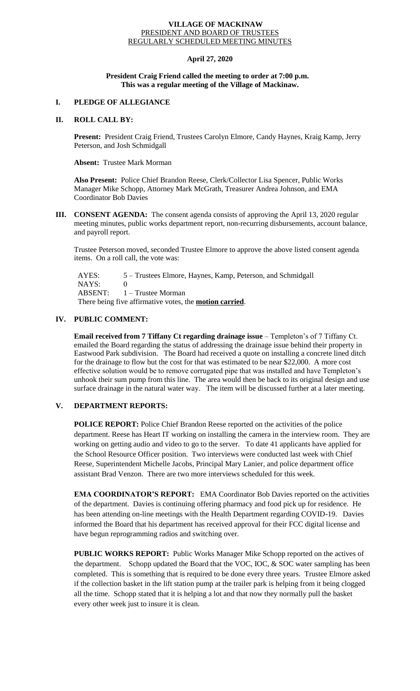#### **VILLAGE OF MACKINAW** PRESIDENT AND BOARD OF TRUSTEES REGULARLY SCHEDULED MEETING MINUTES

## **April 27, 2020**

#### **President Craig Friend called the meeting to order at 7:00 p.m. This was a regular meeting of the Village of Mackinaw.**

# **I. PLEDGE OF ALLEGIANCE**

#### **II. ROLL CALL BY:**

**Present:** President Craig Friend, Trustees Carolyn Elmore, Candy Haynes, Kraig Kamp, Jerry Peterson, and Josh Schmidgall

#### **Absent:** Trustee Mark Morman

**Also Present:** Police Chief Brandon Reese, Clerk/Collector Lisa Spencer, Public Works Manager Mike Schopp, Attorney Mark McGrath, Treasurer Andrea Johnson, and EMA Coordinator Bob Davies

**III. CONSENT AGENDA:** The consent agenda consists of approving the April 13, 2020 regular meeting minutes, public works department report, non-recurring disbursements, account balance, and payroll report.

Trustee Peterson moved, seconded Trustee Elmore to approve the above listed consent agenda items. On a roll call, the vote was:

 AYES: 5 – Trustees Elmore, Haynes, Kamp, Peterson, and Schmidgall NAYS: 0 ABSENT: 1 – Trustee Morman There being five affirmative votes, the **motion carried**.

# **IV. PUBLIC COMMENT:**

**Email received from 7 Tiffany Ct regarding drainage issue** – Templeton's of 7 Tiffany Ct. emailed the Board regarding the status of addressing the drainage issue behind their property in Eastwood Park subdivision. The Board had received a quote on installing a concrete lined ditch for the drainage to flow but the cost for that was estimated to be near \$22,000. A more cost effective solution would be to remove corrugated pipe that was installed and have Templeton's unhook their sum pump from this line. The area would then be back to its original design and use surface drainage in the natural water way. The item will be discussed further at a later meeting.

## **V. DEPARTMENT REPORTS:**

**POLICE REPORT:** Police Chief Brandon Reese reported on the activities of the police department. Reese has Heart IT working on installing the camera in the interview room. They are working on getting audio and video to go to the server. To date 41 applicants have applied for the School Resource Officer position. Two interviews were conducted last week with Chief Reese, Superintendent Michelle Jacobs, Principal Mary Lanier, and police department office assistant Brad Venzon. There are two more interviews scheduled for this week.

**EMA COORDINATOR'S REPORT:** EMA Coordinator Bob Davies reported on the activities of the department. Davies is continuing offering pharmacy and food pick up for residence. He has been attending on-line meetings with the Health Department regarding COVID-19. Davies informed the Board that his department has received approval for their FCC digital license and have begun reprogramming radios and switching over.

**PUBLIC WORKS REPORT:** Public Works Manager Mike Schopp reported on the actives of the department. Schopp updated the Board that the VOC, IOC, & SOC water sampling has been completed. This is something that is required to be done every three years. Trustee Elmore asked if the collection basket in the lift station pump at the trailer park is helping from it being clogged all the time. Schopp stated that it is helping a lot and that now they normally pull the basket every other week just to insure it is clean.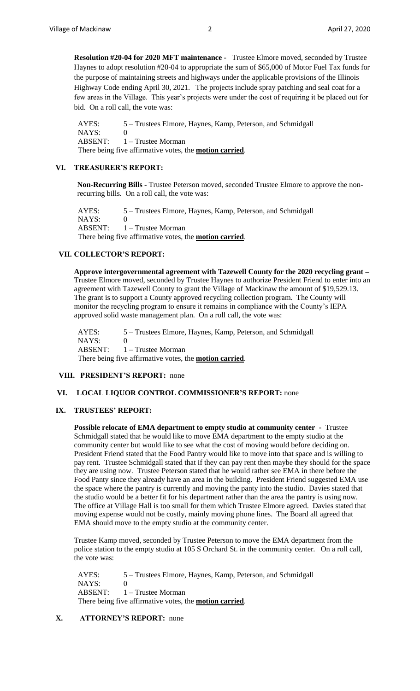**Resolution #20-04 for 2020 MFT maintenance** - Trustee Elmore moved, seconded by Trustee Haynes to adopt resolution #20-04 to appropriate the sum of \$65,000 of Motor Fuel Tax funds for the purpose of maintaining streets and highways under the applicable provisions of the Illinois Highway Code ending April 30, 2021. The projects include spray patching and seal coat for a few areas in the Village. This year's projects were under the cost of requiring it be placed out for bid. On a roll call, the vote was:

 AYES: 5 – Trustees Elmore, Haynes, Kamp, Peterson, and Schmidgall NAYS: 0 ABSENT: 1 – Trustee Morman There being five affirmative votes, the **motion carried**.

#### **VI. TREASURER'S REPORT:**

**Non-Recurring Bills -** Trustee Peterson moved, seconded Trustee Elmore to approve the nonrecurring bills. On a roll call, the vote was:

 AYES: 5 – Trustees Elmore, Haynes, Kamp, Peterson, and Schmidgall NAYS: 0 ABSENT: 1 – Trustee Morman There being five affirmative votes, the **motion carried**.

## **VII. COLLECTOR'S REPORT:**

**Approve intergovernmental agreement with Tazewell County for the 2020 recycling grant –** Trustee Elmore moved, seconded by Trustee Haynes to authorize President Friend to enter into an agreement with Tazewell County to grant the Village of Mackinaw the amount of \$19,529.13. The grant is to support a County approved recycling collection program. The County will monitor the recycling program to ensure it remains in compliance with the County's IEPA approved solid waste management plan. On a roll call, the vote was:

 AYES: 5 – Trustees Elmore, Haynes, Kamp, Peterson, and Schmidgall NAYS: 0 ABSENT: 1 – Trustee Morman There being five affirmative votes, the **motion carried**.

#### **VIII. PRESIDENT'S REPORT:** none

### **VI. LOCAL LIQUOR CONTROL COMMISSIONER'S REPORT:** none

### **IX. TRUSTEES' REPORT:**

**Possible relocate of EMA department to empty studio at community center -** Trustee Schmidgall stated that he would like to move EMA department to the empty studio at the community center but would like to see what the cost of moving would before deciding on. President Friend stated that the Food Pantry would like to move into that space and is willing to pay rent. Trustee Schmidgall stated that if they can pay rent then maybe they should for the space they are using now. Trustee Peterson stated that he would rather see EMA in there before the Food Panty since they already have an area in the building. President Friend suggested EMA use the space where the pantry is currently and moving the panty into the studio. Davies stated that the studio would be a better fit for his department rather than the area the pantry is using now. The office at Village Hall is too small for them which Trustee Elmore agreed. Davies stated that moving expense would not be costly, mainly moving phone lines. The Board all agreed that EMA should move to the empty studio at the community center.

Trustee Kamp moved, seconded by Trustee Peterson to move the EMA department from the police station to the empty studio at 105 S Orchard St. in the community center. On a roll call, the vote was:

 AYES: 5 – Trustees Elmore, Haynes, Kamp, Peterson, and Schmidgall  $NAYS: 0$  ABSENT: 1 – Trustee Morman There being five affirmative votes, the **motion carried**.

# **X. ATTORNEY'S REPORT:** none